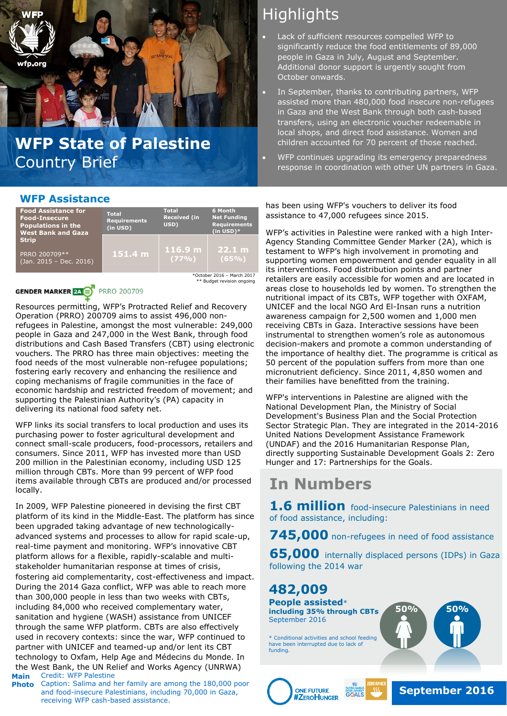

## **WFP State of Palestine** Country Brief

### **WFP Assistance**

| <b>Food Assistance for</b><br><b>Food-Insecure</b><br><b>Populations in the</b><br><b>West Bank and Gaza</b> | <b>Total</b><br><b>Requirements</b><br>(in USD) | <b>Total</b><br><b>Received (in</b><br>USD) | 6 Month<br><b>Net Funding</b><br><b>Requirements</b><br>$(in USD)*$ |
|--------------------------------------------------------------------------------------------------------------|-------------------------------------------------|---------------------------------------------|---------------------------------------------------------------------|
| <b>Strip</b><br>PRRO 200709**<br>(Jan. 2015 - Dec. 2016)                                                     | 151.4 m                                         | $116.9$ m $\cdot$<br>(77%)                  | 22.1 m<br>(65%)                                                     |

 \*October 2016 – March 2017 \* Budget revision ongoing

#### **GENDER MARKER 24 BY PRRO 200709**

Resources permitting, WFP's Protracted Relief and Recovery Operation (PRRO) 200709 aims to assist 496,000 nonrefugees in Palestine, amongst the most vulnerable: 249,000 people in Gaza and 247,000 in the West Bank, through food distributions and Cash Based Transfers (CBT) using electronic vouchers. The PRRO has three main objectives: meeting the food needs of the most vulnerable non-refugee populations; fostering early recovery and enhancing the resilience and coping mechanisms of fragile communities in the face of economic hardship and restricted freedom of movement; and supporting the Palestinian Authority's (PA) capacity in delivering its national food safety net.

WFP links its social transfers to local production and uses its purchasing power to foster agricultural development and connect small-scale producers, food-processors, retailers and consumers. Since 2011, WFP has invested more than USD 200 million in the Palestinian economy, including USD 125 million through CBTs. More than 99 percent of WFP food items available through CBTs are produced and/or processed locally.

**Main** Credit: WFP Palestine In 2009, WFP Palestine pioneered in devising the first CBT platform of its kind in the Middle-East. The platform has since been upgraded taking advantage of new technologicallyadvanced systems and processes to allow for rapid scale-up, real-time payment and monitoring. WFP's innovative CBT platform allows for a flexible, rapidly-scalable and multistakeholder humanitarian response at times of crisis, fostering aid complementarity, cost-effectiveness and impact. During the 2014 Gaza conflict, WFP was able to reach more than 300,000 people in less than two weeks with CBTs, including 84,000 who received complementary water, sanitation and hygiene (WASH) assistance from UNICEF through the same WFP platform. CBTs are also effectively used in recovery contexts: since the war, WFP continued to partner with UNICEF and teamed-up and/or lent its CBT technology to Oxfam, Help Age and Médecins du Monde. In the West Bank, the UN Relief and Works Agency (UNRWA)

**Photo** Caption: Salima and her family are among the 180,000 poor and food-insecure Palestinians, including 70,000 in Gaza, receiving WFP cash-based assistance.

# **Highlights**

- Lack of sufficient resources compelled WFP to significantly reduce the food entitlements of 89,000 people in Gaza in July, August and September. Additional donor support is urgently sought from October onwards.
- In September, thanks to contributing partners, WFP assisted more than 480,000 food insecure non-refugees in Gaza and the West Bank through both cash-based transfers, using an electronic voucher redeemable in local shops, and direct food assistance. Women and children accounted for 70 percent of those reached.
- WFP continues upgrading its emergency preparedness response in coordination with other UN partners in Gaza.

has been using WFP's vouchers to deliver its food assistance to 47,000 refugees since 2015.

WFP's activities in Palestine were ranked with a high Inter-Agency Standing Committee Gender Marker (2A), which is testament to WFP's high involvement in promoting and supporting women empowerment and gender equality in all its interventions. Food distribution points and partner retailers are easily accessible for women and are located in areas close to households led by women. To strengthen the nutritional impact of its CBTs, WFP together with OXFAM, UNICEF and the local NGO Ard El-Insan runs a nutrition awareness campaign for 2,500 women and 1,000 men receiving CBTs in Gaza. Interactive sessions have been instrumental to strengthen women's role as autonomous decision-makers and promote a common understanding of the importance of healthy diet. The programme is critical as 50 percent of the population suffers from more than one micronutrient deficiency. Since 2011, 4,850 women and their families have benefitted from the training.

WFP's interventions in Palestine are aligned with the National Development Plan, the Ministry of Social Development's Business Plan and the Social Protection Sector Strategic Plan. They are integrated in the 2014-2016 United Nations Development Assistance Framework (UNDAF) and the 2016 Humanitarian Response Plan, directly supporting Sustainable Development Goals 2: Zero Hunger and 17: Partnerships for the Goals.

## **In Numbers**

**1.6 million** food-insecure Palestinians in need of food assistance, including:

**745,000** non-refugees in need of food assistance

**65,000** internally displaced persons (IDPs) in Gaza following the 2014 war

**482,009**

**People assisted**\* **including 35% through CBTs** September 2016

\* Conditional activities and school feeding have been interrupted due to lack of funding.





**50% 50%**